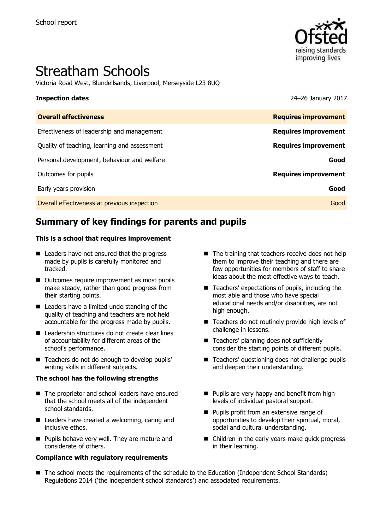

# Streatham Schools

Victoria Road West, Blundellsands, Liverpool, Merseyside L23 8UQ

**Inspection dates** 24–26 January 2017

| <b>Overall effectiveness</b>                 | <b>Requires improvement</b> |
|----------------------------------------------|-----------------------------|
| Effectiveness of leadership and management   | <b>Requires improvement</b> |
| Quality of teaching, learning and assessment | <b>Requires improvement</b> |
| Personal development, behaviour and welfare  | Good                        |
| Outcomes for pupils                          | <b>Requires improvement</b> |
| Early years provision                        | Good                        |
| Overall effectiveness at previous inspection | Good                        |
|                                              |                             |

# **Summary of key findings for parents and pupils**

### **This is a school that requires improvement**

- Leaders have not ensured that the progress made by pupils is carefully monitored and tracked.
- Outcomes require improvement as most pupils make steady, rather than good progress from their starting points.
- Leaders have a limited understanding of the quality of teaching and teachers are not held accountable for the progress made by pupils.
- Leadership structures do not create clear lines of accountability for different areas of the school's performance.
- Teachers do not do enough to develop pupils' writing skills in different subjects.

### **The school has the following strengths**

- The proprietor and school leaders have ensured that the school meets all of the independent school standards.
- Leaders have created a welcoming, caring and inclusive ethos.
- **Pupils behave very well. They are mature and** considerate of others.

### **Compliance with regulatory requirements**

- $\blacksquare$  The training that teachers receive does not help them to improve their teaching and there are few opportunities for members of staff to share ideas about the most effective ways to teach.
- Teachers' expectations of pupils, including the most able and those who have special educational needs and/or disabilities, are not high enough.
- Teachers do not routinely provide high levels of challenge in lessons.
- Teachers' planning does not sufficiently consider the starting points of different pupils.
- Teachers' questioning does not challenge pupils and deepen their understanding.
- **Pupils are very happy and benefit from high** levels of individual pastoral support.
- **Pupils profit from an extensive range of** opportunities to develop their spiritual, moral, social and cultural understanding.
- Children in the early years make quick progress in their learning.
- The school meets the requirements of the schedule to the Education (Independent School Standards) Regulations 2014 ('the independent school standards') and associated requirements.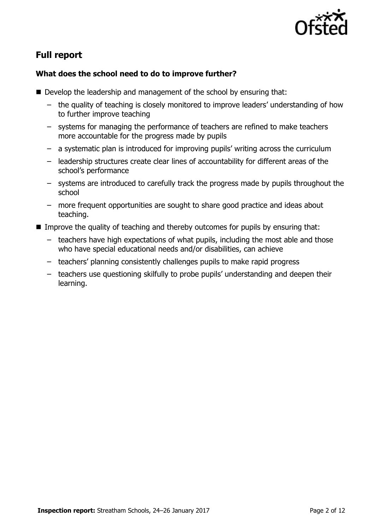

# **Full report**

### **What does the school need to do to improve further?**

- Develop the leadership and management of the school by ensuring that:
	- the quality of teaching is closely monitored to improve leaders' understanding of how to further improve teaching
	- systems for managing the performance of teachers are refined to make teachers more accountable for the progress made by pupils
	- a systematic plan is introduced for improving pupils' writing across the curriculum
	- leadership structures create clear lines of accountability for different areas of the school's performance
	- systems are introduced to carefully track the progress made by pupils throughout the school
	- more frequent opportunities are sought to share good practice and ideas about teaching.
- Improve the quality of teaching and thereby outcomes for pupils by ensuring that:
	- teachers have high expectations of what pupils, including the most able and those who have special educational needs and/or disabilities, can achieve
	- teachers' planning consistently challenges pupils to make rapid progress
	- teachers use questioning skilfully to probe pupils' understanding and deepen their learning.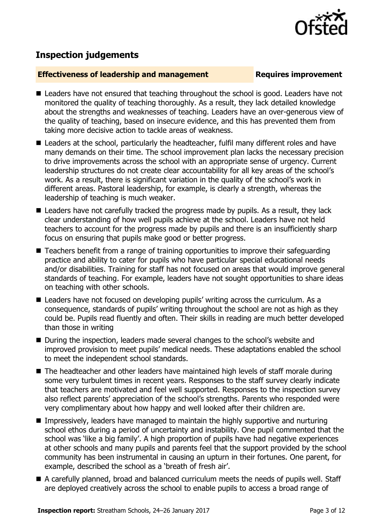

### **Inspection judgements**

### **Effectiveness of leadership and management Requires improvement**

- Leaders have not ensured that teaching throughout the school is good. Leaders have not monitored the quality of teaching thoroughly. As a result, they lack detailed knowledge about the strengths and weaknesses of teaching. Leaders have an over-generous view of the quality of teaching, based on insecure evidence, and this has prevented them from taking more decisive action to tackle areas of weakness.
- Leaders at the school, particularly the headteacher, fulfil many different roles and have many demands on their time. The school improvement plan lacks the necessary precision to drive improvements across the school with an appropriate sense of urgency. Current leadership structures do not create clear accountability for all key areas of the school's work. As a result, there is significant variation in the quality of the school's work in different areas. Pastoral leadership, for example, is clearly a strength, whereas the leadership of teaching is much weaker.
- Leaders have not carefully tracked the progress made by pupils. As a result, they lack clear understanding of how well pupils achieve at the school. Leaders have not held teachers to account for the progress made by pupils and there is an insufficiently sharp focus on ensuring that pupils make good or better progress.
- Teachers benefit from a range of training opportunities to improve their safeguarding practice and ability to cater for pupils who have particular special educational needs and/or disabilities. Training for staff has not focused on areas that would improve general standards of teaching. For example, leaders have not sought opportunities to share ideas on teaching with other schools.
- Leaders have not focused on developing pupils' writing across the curriculum. As a consequence, standards of pupils' writing throughout the school are not as high as they could be. Pupils read fluently and often. Their skills in reading are much better developed than those in writing
- During the inspection, leaders made several changes to the school's website and improved provision to meet pupils' medical needs. These adaptations enabled the school to meet the independent school standards.
- The headteacher and other leaders have maintained high levels of staff morale during some very turbulent times in recent years. Responses to the staff survey clearly indicate that teachers are motivated and feel well supported. Responses to the inspection survey also reflect parents' appreciation of the school's strengths. Parents who responded were very complimentary about how happy and well looked after their children are.
- **IMPRESS** Impressively, leaders have managed to maintain the highly supportive and nurturing school ethos during a period of uncertainty and instability. One pupil commented that the school was 'like a big family'. A high proportion of pupils have had negative experiences at other schools and many pupils and parents feel that the support provided by the school community has been instrumental in causing an upturn in their fortunes. One parent, for example, described the school as a 'breath of fresh air'.
- A carefully planned, broad and balanced curriculum meets the needs of pupils well. Staff are deployed creatively across the school to enable pupils to access a broad range of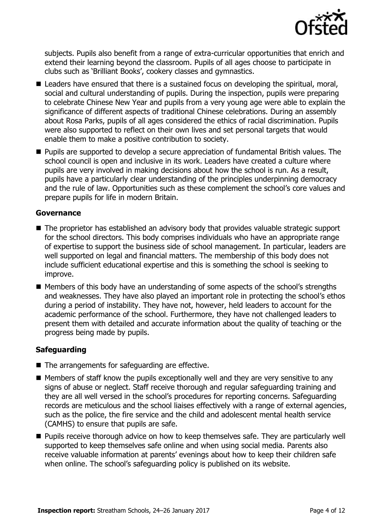

subjects. Pupils also benefit from a range of extra-curricular opportunities that enrich and extend their learning beyond the classroom. Pupils of all ages choose to participate in clubs such as 'Brilliant Books', cookery classes and gymnastics.

- Leaders have ensured that there is a sustained focus on developing the spiritual, moral, social and cultural understanding of pupils. During the inspection, pupils were preparing to celebrate Chinese New Year and pupils from a very young age were able to explain the significance of different aspects of traditional Chinese celebrations. During an assembly about Rosa Parks, pupils of all ages considered the ethics of racial discrimination. Pupils were also supported to reflect on their own lives and set personal targets that would enable them to make a positive contribution to society.
- Pupils are supported to develop a secure appreciation of fundamental British values. The school council is open and inclusive in its work. Leaders have created a culture where pupils are very involved in making decisions about how the school is run. As a result, pupils have a particularly clear understanding of the principles underpinning democracy and the rule of law. Opportunities such as these complement the school's core values and prepare pupils for life in modern Britain.

### **Governance**

- The proprietor has established an advisory body that provides valuable strategic support for the school directors. This body comprises individuals who have an appropriate range of expertise to support the business side of school management. In particular, leaders are well supported on legal and financial matters. The membership of this body does not include sufficient educational expertise and this is something the school is seeking to improve.
- Members of this body have an understanding of some aspects of the school's strengths and weaknesses. They have also played an important role in protecting the school's ethos during a period of instability. They have not, however, held leaders to account for the academic performance of the school. Furthermore, they have not challenged leaders to present them with detailed and accurate information about the quality of teaching or the progress being made by pupils.

### **Safeguarding**

- The arrangements for safeguarding are effective.
- $\blacksquare$  Members of staff know the pupils exceptionally well and they are very sensitive to any signs of abuse or neglect. Staff receive thorough and regular safeguarding training and they are all well versed in the school's procedures for reporting concerns. Safeguarding records are meticulous and the school liaises effectively with a range of external agencies, such as the police, the fire service and the child and adolescent mental health service (CAMHS) to ensure that pupils are safe.
- **Pupils receive thorough advice on how to keep themselves safe. They are particularly well** supported to keep themselves safe online and when using social media. Parents also receive valuable information at parents' evenings about how to keep their children safe when online. The school's safeguarding policy is published on its website.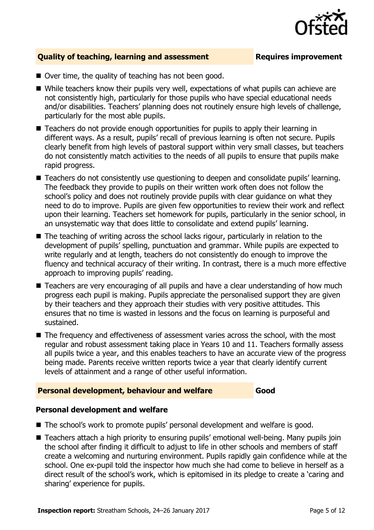

### **Quality of teaching, learning and assessment <b>Requires improvement**

- $\blacksquare$  Over time, the quality of teaching has not been good.
- While teachers know their pupils very well, expectations of what pupils can achieve are not consistently high, particularly for those pupils who have special educational needs and/or disabilities. Teachers' planning does not routinely ensure high levels of challenge, particularly for the most able pupils.
- Teachers do not provide enough opportunities for pupils to apply their learning in different ways. As a result, pupils' recall of previous learning is often not secure. Pupils clearly benefit from high levels of pastoral support within very small classes, but teachers do not consistently match activities to the needs of all pupils to ensure that pupils make rapid progress.
- **Teachers do not consistently use questioning to deepen and consolidate pupils' learning.** The feedback they provide to pupils on their written work often does not follow the school's policy and does not routinely provide pupils with clear guidance on what they need to do to improve. Pupils are given few opportunities to review their work and reflect upon their learning. Teachers set homework for pupils, particularly in the senior school, in an unsystematic way that does little to consolidate and extend pupils' learning.
- The teaching of writing across the school lacks rigour, particularly in relation to the development of pupils' spelling, punctuation and grammar. While pupils are expected to write regularly and at length, teachers do not consistently do enough to improve the fluency and technical accuracy of their writing. In contrast, there is a much more effective approach to improving pupils' reading.
- Teachers are very encouraging of all pupils and have a clear understanding of how much progress each pupil is making. Pupils appreciate the personalised support they are given by their teachers and they approach their studies with very positive attitudes. This ensures that no time is wasted in lessons and the focus on learning is purposeful and sustained.
- The frequency and effectiveness of assessment varies across the school, with the most regular and robust assessment taking place in Years 10 and 11. Teachers formally assess all pupils twice a year, and this enables teachers to have an accurate view of the progress being made. Parents receive written reports twice a year that clearly identify current levels of attainment and a range of other useful information.

### **Personal development, behaviour and welfare <b>Good**

### **Personal development and welfare**

- The school's work to promote pupils' personal development and welfare is good.
- Teachers attach a high priority to ensuring pupils' emotional well-being. Many pupils join the school after finding it difficult to adjust to life in other schools and members of staff create a welcoming and nurturing environment. Pupils rapidly gain confidence while at the school. One ex-pupil told the inspector how much she had come to believe in herself as a direct result of the school's work, which is epitomised in its pledge to create a 'caring and sharing' experience for pupils.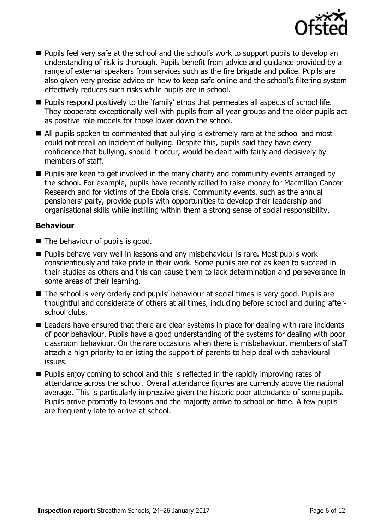

- **Pupils feel very safe at the school and the school's work to support pupils to develop an** understanding of risk is thorough. Pupils benefit from advice and guidance provided by a range of external speakers from services such as the fire brigade and police. Pupils are also given very precise advice on how to keep safe online and the school's filtering system effectively reduces such risks while pupils are in school.
- **Pupils respond positively to the 'family' ethos that permeates all aspects of school life.** They cooperate exceptionally well with pupils from all year groups and the older pupils act as positive role models for those lower down the school.
- All pupils spoken to commented that bullying is extremely rare at the school and most could not recall an incident of bullying. Despite this, pupils said they have every confidence that bullying, should it occur, would be dealt with fairly and decisively by members of staff.
- **Pupils are keen to get involved in the many charity and community events arranged by** the school. For example, pupils have recently rallied to raise money for Macmillan Cancer Research and for victims of the Ebola crisis. Community events, such as the annual pensioners' party, provide pupils with opportunities to develop their leadership and organisational skills while instilling within them a strong sense of social responsibility.

### **Behaviour**

- The behaviour of pupils is good.
- **Pupils behave very well in lessons and any misbehaviour is rare. Most pupils work** conscientiously and take pride in their work. Some pupils are not as keen to succeed in their studies as others and this can cause them to lack determination and perseverance in some areas of their learning.
- The school is very orderly and pupils' behaviour at social times is very good. Pupils are thoughtful and considerate of others at all times, including before school and during afterschool clubs.
- Leaders have ensured that there are clear systems in place for dealing with rare incidents of poor behaviour. Pupils have a good understanding of the systems for dealing with poor classroom behaviour. On the rare occasions when there is misbehaviour, members of staff attach a high priority to enlisting the support of parents to help deal with behavioural issues.
- **Pupils enjoy coming to school and this is reflected in the rapidly improving rates of** attendance across the school. Overall attendance figures are currently above the national average. This is particularly impressive given the historic poor attendance of some pupils. Pupils arrive promptly to lessons and the majority arrive to school on time. A few pupils are frequently late to arrive at school.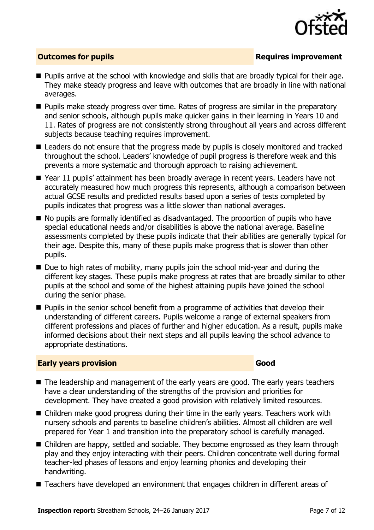

### **Outcomes for pupils Requires improvement**

- **Pupils arrive at the school with knowledge and skills that are broadly typical for their age.** They make steady progress and leave with outcomes that are broadly in line with national averages.
- **Pupils make steady progress over time. Rates of progress are similar in the preparatory** and senior schools, although pupils make quicker gains in their learning in Years 10 and 11. Rates of progress are not consistently strong throughout all years and across different subjects because teaching requires improvement.
- Leaders do not ensure that the progress made by pupils is closely monitored and tracked throughout the school. Leaders' knowledge of pupil progress is therefore weak and this prevents a more systematic and thorough approach to raising achievement.
- Year 11 pupils' attainment has been broadly average in recent years. Leaders have not accurately measured how much progress this represents, although a comparison between actual GCSE results and predicted results based upon a series of tests completed by pupils indicates that progress was a little slower than national averages.
- No pupils are formally identified as disadvantaged. The proportion of pupils who have special educational needs and/or disabilities is above the national average. Baseline assessments completed by these pupils indicate that their abilities are generally typical for their age. Despite this, many of these pupils make progress that is slower than other pupils.
- $\blacksquare$  Due to high rates of mobility, many pupils join the school mid-year and during the different key stages. These pupils make progress at rates that are broadly similar to other pupils at the school and some of the highest attaining pupils have joined the school during the senior phase.
- **Pupils in the senior school benefit from a programme of activities that develop their** understanding of different careers. Pupils welcome a range of external speakers from different professions and places of further and higher education. As a result, pupils make informed decisions about their next steps and all pupils leaving the school advance to appropriate destinations.

### **Early years provision Good Good**

- The leadership and management of the early years are good. The early years teachers have a clear understanding of the strengths of the provision and priorities for development. They have created a good provision with relatively limited resources.
- Children make good progress during their time in the early years. Teachers work with nursery schools and parents to baseline children's abilities. Almost all children are well prepared for Year 1 and transition into the preparatory school is carefully managed.
- Children are happy, settled and sociable. They become engrossed as they learn through play and they enjoy interacting with their peers. Children concentrate well during formal teacher-led phases of lessons and enjoy learning phonics and developing their handwriting.
- Teachers have developed an environment that engages children in different areas of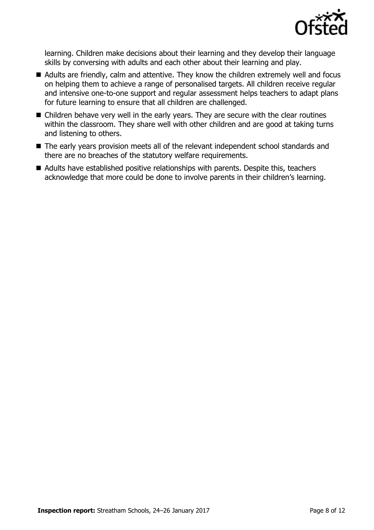

learning. Children make decisions about their learning and they develop their language skills by conversing with adults and each other about their learning and play.

- Adults are friendly, calm and attentive. They know the children extremely well and focus on helping them to achieve a range of personalised targets. All children receive regular and intensive one-to-one support and regular assessment helps teachers to adapt plans for future learning to ensure that all children are challenged.
- Children behave very well in the early years. They are secure with the clear routines within the classroom. They share well with other children and are good at taking turns and listening to others.
- The early years provision meets all of the relevant independent school standards and there are no breaches of the statutory welfare requirements.
- Adults have established positive relationships with parents. Despite this, teachers acknowledge that more could be done to involve parents in their children's learning.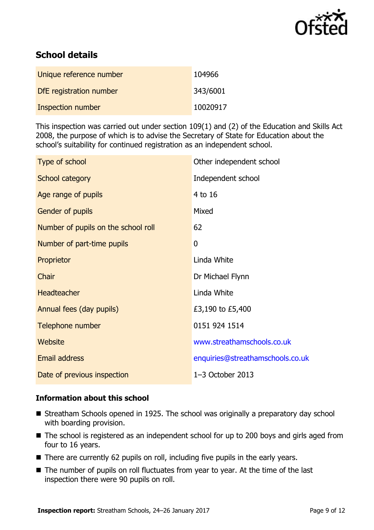

# **School details**

| Unique reference number | 104966   |
|-------------------------|----------|
| DfE registration number | 343/6001 |
| Inspection number       | 10020917 |

This inspection was carried out under section 109(1) and (2) of the Education and Skills Act 2008, the purpose of which is to advise the Secretary of State for Education about the school's suitability for continued registration as an independent school.

| Type of school                      | Other independent school         |
|-------------------------------------|----------------------------------|
| School category                     | Independent school               |
| Age range of pupils                 | 4 to 16                          |
| Gender of pupils                    | Mixed                            |
| Number of pupils on the school roll | 62                               |
| Number of part-time pupils          | 0                                |
| Proprietor                          | Linda White                      |
| Chair                               | Dr Michael Flynn                 |
| Headteacher                         | Linda White                      |
| Annual fees (day pupils)            | £3,190 to £5,400                 |
| Telephone number                    | 0151 924 1514                    |
| <b>Website</b>                      | www.streathamschools.co.uk       |
| Email address                       | enquiries@streathamschools.co.uk |
| Date of previous inspection         | $1-3$ October 2013               |

### **Information about this school**

- Streatham Schools opened in 1925. The school was originally a preparatory day school with boarding provision.
- The school is registered as an independent school for up to 200 boys and girls aged from four to 16 years.
- There are currently 62 pupils on roll, including five pupils in the early years.
- The number of pupils on roll fluctuates from year to year. At the time of the last inspection there were 90 pupils on roll.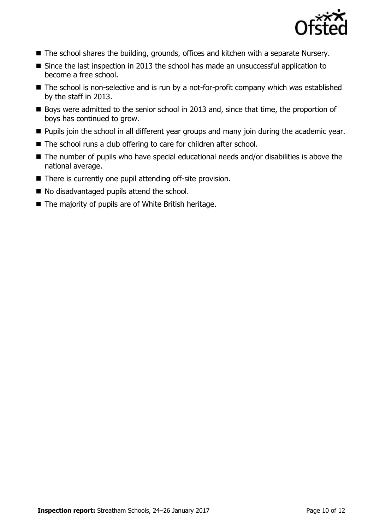

- The school shares the building, grounds, offices and kitchen with a separate Nursery.
- Since the last inspection in 2013 the school has made an unsuccessful application to become a free school.
- The school is non-selective and is run by a not-for-profit company which was established by the staff in 2013.
- Boys were admitted to the senior school in 2013 and, since that time, the proportion of boys has continued to grow.
- **Pupils join the school in all different year groups and many join during the academic year.**
- The school runs a club offering to care for children after school.
- The number of pupils who have special educational needs and/or disabilities is above the national average.
- There is currently one pupil attending off-site provision.
- No disadvantaged pupils attend the school.
- $\blacksquare$  The majority of pupils are of White British heritage.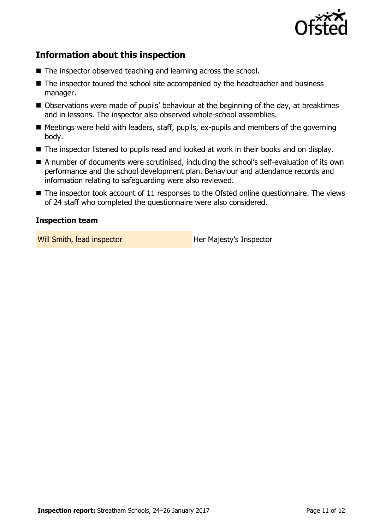

# **Information about this inspection**

- The inspector observed teaching and learning across the school.
- The inspector toured the school site accompanied by the headteacher and business manager.
- Observations were made of pupils' behaviour at the beginning of the day, at breaktimes and in lessons. The inspector also observed whole-school assemblies.
- $\blacksquare$  Meetings were held with leaders, staff, pupils, ex-pupils and members of the governing body.
- The inspector listened to pupils read and looked at work in their books and on display.
- A number of documents were scrutinised, including the school's self-evaluation of its own performance and the school development plan. Behaviour and attendance records and information relating to safeguarding were also reviewed.
- The inspector took account of 11 responses to the Ofsted online questionnaire. The views of 24 staff who completed the questionnaire were also considered.

### **Inspection team**

Will Smith, lead inspector **Her Majesty's Inspector**